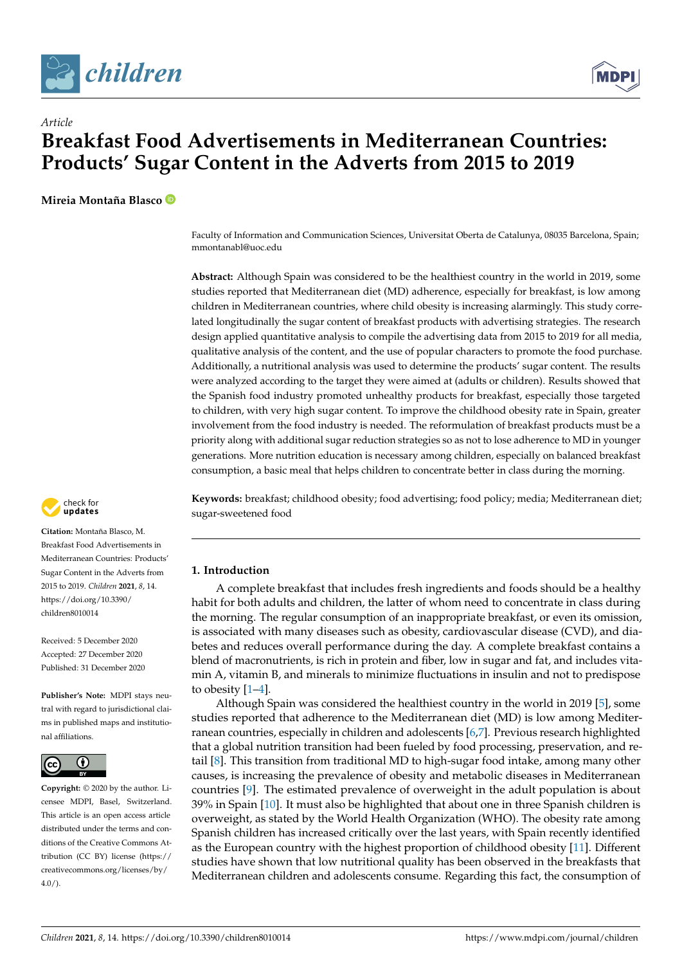



# *Article* **Breakfast Food Advertisements in Mediterranean Countries: Products' Sugar Content in the Adverts from 2015 to 2019**

**Mireia Montaña Blasco**

Faculty of Information and Communication Sciences, Universitat Oberta de Catalunya, 08035 Barcelona, Spain; mmontanabl@uoc.edu

**Abstract:** Although Spain was considered to be the healthiest country in the world in 2019, some studies reported that Mediterranean diet (MD) adherence, especially for breakfast, is low among children in Mediterranean countries, where child obesity is increasing alarmingly. This study correlated longitudinally the sugar content of breakfast products with advertising strategies. The research design applied quantitative analysis to compile the advertising data from 2015 to 2019 for all media, qualitative analysis of the content, and the use of popular characters to promote the food purchase. Additionally, a nutritional analysis was used to determine the products' sugar content. The results were analyzed according to the target they were aimed at (adults or children). Results showed that the Spanish food industry promoted unhealthy products for breakfast, especially those targeted to children, with very high sugar content. To improve the childhood obesity rate in Spain, greater involvement from the food industry is needed. The reformulation of breakfast products must be a priority along with additional sugar reduction strategies so as not to lose adherence to MD in younger generations. More nutrition education is necessary among children, especially on balanced breakfast consumption, a basic meal that helps children to concentrate better in class during the morning.

**Keywords:** breakfast; childhood obesity; food advertising; food policy; media; Mediterranean diet; sugar-sweetened food

# **1. Introduction**

A complete breakfast that includes fresh ingredients and foods should be a healthy habit for both adults and children, the latter of whom need to concentrate in class during the morning. The regular consumption of an inappropriate breakfast, or even its omission, is associated with many diseases such as obesity, cardiovascular disease (CVD), and diabetes and reduces overall performance during the day. A complete breakfast contains a blend of macronutrients, is rich in protein and fiber, low in sugar and fat, and includes vitamin A, vitamin B, and minerals to minimize fluctuations in insulin and not to predispose to obesity [\[1–](#page-5-0)[4\]](#page-5-1).

Although Spain was considered the healthiest country in the world in 2019 [\[5\]](#page-5-2), some studies reported that adherence to the Mediterranean diet (MD) is low among Mediterranean countries, especially in children and adolescents [\[6,](#page-5-3)[7\]](#page-6-0). Previous research highlighted that a global nutrition transition had been fueled by food processing, preservation, and retail [\[8\]](#page-6-1). This transition from traditional MD to high-sugar food intake, among many other causes, is increasing the prevalence of obesity and metabolic diseases in Mediterranean countries [\[9\]](#page-6-2). The estimated prevalence of overweight in the adult population is about 39% in Spain [\[10\]](#page-6-3). It must also be highlighted that about one in three Spanish children is overweight, as stated by the World Health Organization (WHO). The obesity rate among Spanish children has increased critically over the last years, with Spain recently identified as the European country with the highest proportion of childhood obesity [\[11\]](#page-6-4). Different studies have shown that low nutritional quality has been observed in the breakfasts that Mediterranean children and adolescents consume. Regarding this fact, the consumption of



**Citation:** Montaña Blasco, M. Breakfast Food Advertisements in Mediterranean Countries: Products' Sugar Content in the Adverts from 2015 to 2019. *Children* **2021**, *8*, 14. [https://doi.org/10.3390/](https://doi.org/10.3390/children8010014) [children8010014](https://doi.org/10.3390/children8010014)

Received: 5 December 2020 Accepted: 27 December 2020 Published: 31 December 2020

**Publisher's Note:** MDPI stays neutral with regard to jurisdictional claims in published maps and institutional affiliations.



**Copyright:** © 2020 by the author. Licensee MDPI, Basel, Switzerland. This article is an open access article distributed under the terms and conditions of the Creative Commons Attribution (CC BY) license [\(https://](https://creativecommons.org/licenses/by/4.0/) [creativecommons.org/licenses/by/](https://creativecommons.org/licenses/by/4.0/)  $4.0/$ ).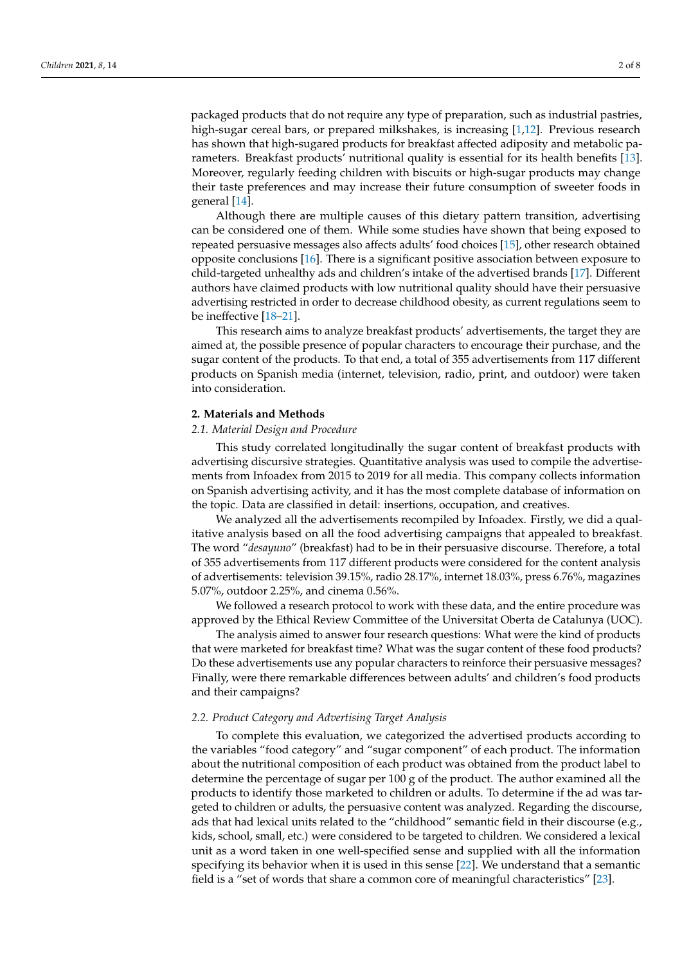packaged products that do not require any type of preparation, such as industrial pastries, high-sugar cereal bars, or prepared milkshakes, is increasing [\[1,](#page-5-0)[12\]](#page-6-5). Previous research has shown that high-sugared products for breakfast affected adiposity and metabolic parameters. Breakfast products' nutritional quality is essential for its health benefits [\[13\]](#page-6-6). Moreover, regularly feeding children with biscuits or high-sugar products may change their taste preferences and may increase their future consumption of sweeter foods in general [\[14\]](#page-6-7).

Although there are multiple causes of this dietary pattern transition, advertising can be considered one of them. While some studies have shown that being exposed to repeated persuasive messages also affects adults' food choices [\[15\]](#page-6-8), other research obtained opposite conclusions [\[16\]](#page-6-9). There is a significant positive association between exposure to child-targeted unhealthy ads and children's intake of the advertised brands [\[17\]](#page-6-10). Different authors have claimed products with low nutritional quality should have their persuasive advertising restricted in order to decrease childhood obesity, as current regulations seem to be ineffective [\[18](#page-6-11)[–21\]](#page-6-12).

This research aims to analyze breakfast products' advertisements, the target they are aimed at, the possible presence of popular characters to encourage their purchase, and the sugar content of the products. To that end, a total of 355 advertisements from 117 different products on Spanish media (internet, television, radio, print, and outdoor) were taken into consideration.

#### **2. Materials and Methods**

#### *2.1. Material Design and Procedure*

This study correlated longitudinally the sugar content of breakfast products with advertising discursive strategies. Quantitative analysis was used to compile the advertisements from Infoadex from 2015 to 2019 for all media. This company collects information on Spanish advertising activity, and it has the most complete database of information on the topic. Data are classified in detail: insertions, occupation, and creatives.

We analyzed all the advertisements recompiled by Infoadex. Firstly, we did a qualitative analysis based on all the food advertising campaigns that appealed to breakfast. The word "*desayuno*" (breakfast) had to be in their persuasive discourse. Therefore, a total of 355 advertisements from 117 different products were considered for the content analysis of advertisements: television 39.15%, radio 28.17%, internet 18.03%, press 6.76%, magazines 5.07%, outdoor 2.25%, and cinema 0.56%.

We followed a research protocol to work with these data, and the entire procedure was approved by the Ethical Review Committee of the Universitat Oberta de Catalunya (UOC).

The analysis aimed to answer four research questions: What were the kind of products that were marketed for breakfast time? What was the sugar content of these food products? Do these advertisements use any popular characters to reinforce their persuasive messages? Finally, were there remarkable differences between adults' and children's food products and their campaigns?

## *2.2. Product Category and Advertising Target Analysis*

To complete this evaluation, we categorized the advertised products according to the variables "food category" and "sugar component" of each product. The information about the nutritional composition of each product was obtained from the product label to determine the percentage of sugar per 100 g of the product. The author examined all the products to identify those marketed to children or adults. To determine if the ad was targeted to children or adults, the persuasive content was analyzed. Regarding the discourse, ads that had lexical units related to the "childhood" semantic field in their discourse (e.g., kids, school, small, etc.) were considered to be targeted to children. We considered a lexical unit as a word taken in one well-specified sense and supplied with all the information specifying its behavior when it is used in this sense [\[22\]](#page-6-13). We understand that a semantic field is a "set of words that share a common core of meaningful characteristics" [\[23\]](#page-6-14).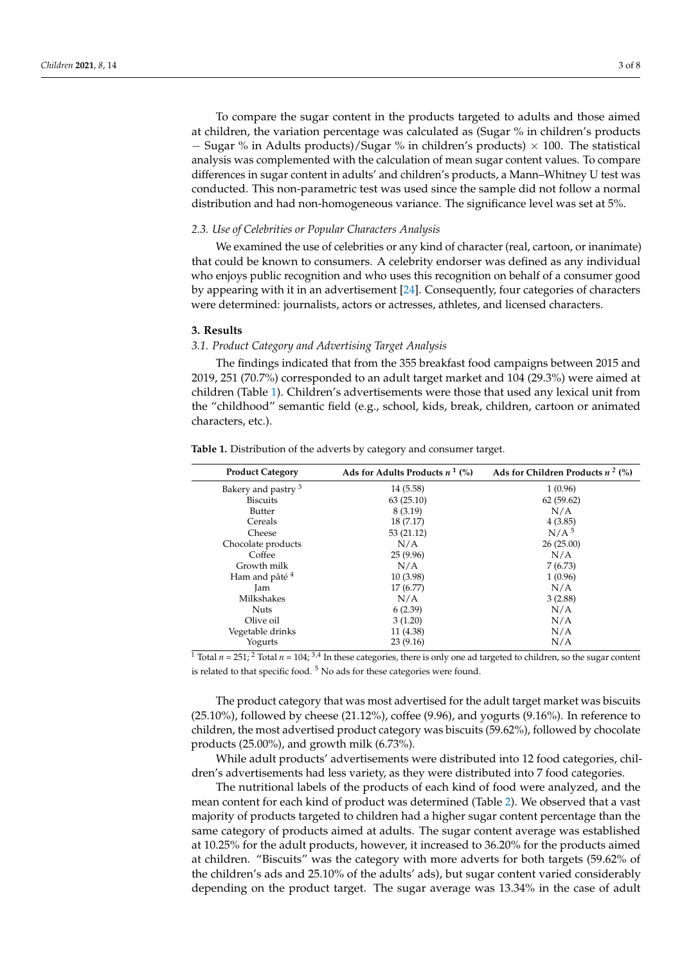To compare the sugar content in the products targeted to adults and those aimed at children, the variation percentage was calculated as (Sugar % in children's products − Sugar % in Adults products)/Sugar % in children's products) × 100. The statistical analysis was complemented with the calculation of mean sugar content values. To compare differences in sugar content in adults' and children's products, a Mann–Whitney U test was conducted. This non-parametric test was used since the sample did not follow a normal distribution and had non-homogeneous variance. The significance level was set at 5%.

#### *2.3. Use of Celebrities or Popular Characters Analysis*

We examined the use of celebrities or any kind of character (real, cartoon, or inanimate) that could be known to consumers. A celebrity endorser was defined as any individual who enjoys public recognition and who uses this recognition on behalf of a consumer good by appearing with it in an advertisement [\[24\]](#page-6-15). Consequently, four categories of characters were determined: journalists, actors or actresses, athletes, and licensed characters.

## **3. Results**

## *3.1. Product Category and Advertising Target Analysis*

The findings indicated that from the 355 breakfast food campaigns between 2015 and 2019, 251 (70.7%) corresponded to an adult target market and 104 (29.3%) were aimed at children (Table [1\)](#page-2-0). Children's advertisements were those that used any lexical unit from the "childhood" semantic field (e.g., school, kids, break, children, cartoon or animated characters, etc.).

| <b>Product Category</b>        | Ads for Adults Products $n^1$ (%) | Ads for Children Products $n^2$ (%) |
|--------------------------------|-----------------------------------|-------------------------------------|
| Bakery and pastry <sup>3</sup> | 14 (5.58)                         | 1(0.96)                             |
| <b>Biscuits</b>                | 63(25.10)                         | 62(59.62)                           |
| Butter                         | 8 (3.19)                          | N/A                                 |
| Cereals                        | 18 (7.17)                         | 4(3.85)                             |
| Cheese                         | 53 (21.12)                        | N/A <sup>5</sup>                    |
| Chocolate products             | N/A                               | 26(25.00)                           |
| Coffee                         | 25(9.96)                          | N/A                                 |
| Growth milk                    | N/A                               | 7(6.73)                             |
| Ham and pâté <sup>4</sup>      | 10 (3.98)                         | 1(0.96)                             |
| Jam                            | 17 (6.77)                         | N/A                                 |
| Milkshakes                     | N/A                               | 3(2.88)                             |
| <b>Nuts</b>                    | 6(2.39)                           | N/A                                 |
| Olive oil                      | 3(1.20)                           | N/A                                 |
| Vegetable drinks               | 11 (4.38)                         | N/A                                 |
| Yogurts                        | 23(9.16)                          | N/A                                 |

<span id="page-2-0"></span>**Table 1.** Distribution of the adverts by category and consumer target.

 $\frac{1}{1}$  Total  $n = 251$ ; <sup>2</sup> Total  $n = 104$ ; <sup>3,4</sup> In these categories, there is only one ad targeted to children, so the sugar content is related to that specific food.  $5$  No ads for these categories were found.

The product category that was most advertised for the adult target market was biscuits  $(25.10\%)$ , followed by cheese  $(21.12\%)$ , coffee  $(9.96)$ , and yogurts  $(9.16\%)$ . In reference to children, the most advertised product category was biscuits (59.62%), followed by chocolate products (25.00%), and growth milk (6.73%).

While adult products' advertisements were distributed into 12 food categories, children's advertisements had less variety, as they were distributed into 7 food categories.

The nutritional labels of the products of each kind of food were analyzed, and the mean content for each kind of product was determined (Table [2\)](#page-3-0). We observed that a vast majority of products targeted to children had a higher sugar content percentage than the same category of products aimed at adults. The sugar content average was established at 10.25% for the adult products, however, it increased to 36.20% for the products aimed at children. "Biscuits" was the category with more adverts for both targets (59.62% of the children's ads and 25.10% of the adults' ads), but sugar content varied considerably depending on the product target. The sugar average was 13.34% in the case of adult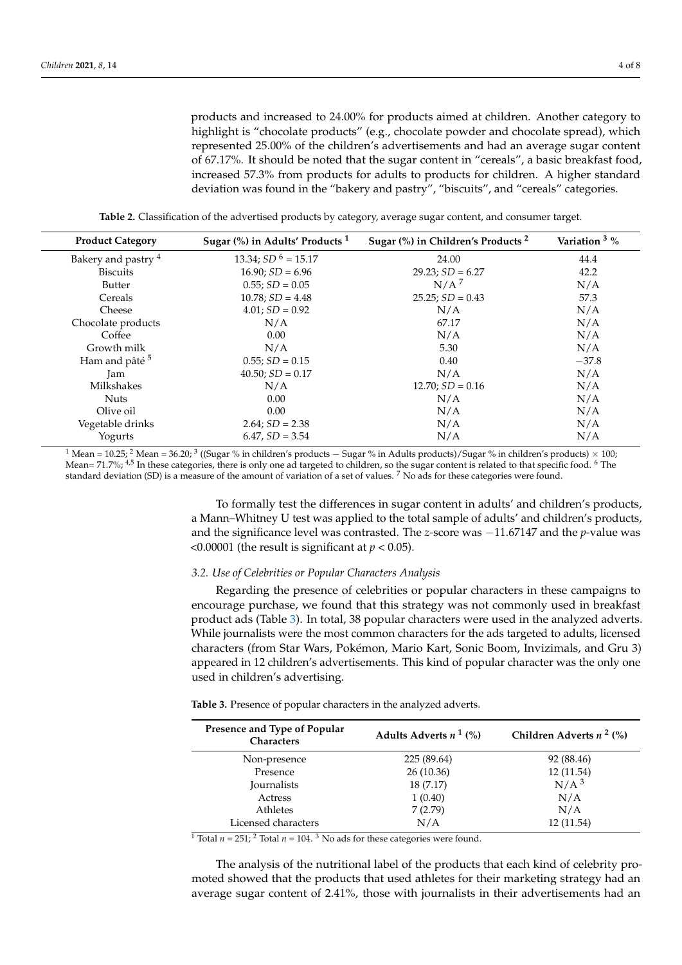products and increased to 24.00% for products aimed at children. Another category to highlight is "chocolate products" (e.g., chocolate powder and chocolate spread), which represented 25.00% of the children's advertisements and had an average sugar content of 67.17%. It should be noted that the sugar content in "cereals", a basic breakfast food, increased 57.3% from products for adults to products for children. A higher standard deviation was found in the "bakery and pastry", "biscuits", and "cereals" categories.

**Table 2.** Classification of the advertised products by category, average sugar content, and consumer target.

<span id="page-3-0"></span>

| <b>Product Category</b>   | Sugar $\frac{6}{6}$ in Adults' Products <sup>1</sup> | Sugar (%) in Children's Products <sup>2</sup> | Variation <sup>3</sup> % |
|---------------------------|------------------------------------------------------|-----------------------------------------------|--------------------------|
| Bakery and pastry 4       | 13.34; $SD6 = 15.17$                                 | 24.00                                         | 44.4                     |
| <b>Biscuits</b>           | $16.90; SD = 6.96$                                   | $29.23$ ; $SD = 6.27$                         | 42.2                     |
| <b>Butter</b>             | $0.55; SD = 0.05$                                    | N/A <sup>7</sup>                              | N/A                      |
| Cereals                   | $10.78; SD = 4.48$                                   | $25.25$ ; $SD = 0.43$                         | 57.3                     |
| Cheese                    | $4.01; SD = 0.92$                                    | N/A                                           | N/A                      |
| Chocolate products        | N/A                                                  | 67.17                                         | N/A                      |
| Coffee                    | 0.00                                                 | N/A                                           | N/A                      |
| Growth milk               | N/A                                                  | 5.30                                          | N/A                      |
| Ham and pâté <sup>5</sup> | $0.55; SD = 0.15$                                    | 0.40                                          | $-37.8$                  |
| Jam                       | $40.50; SD = 0.17$                                   | N/A                                           | N/A                      |
| Milkshakes                | N/A                                                  | $12.70; SD = 0.16$                            | N/A                      |
| <b>Nuts</b>               | 0.00                                                 | N/A                                           | N/A                      |
| Olive oil                 | 0.00                                                 | N/A                                           | N/A                      |
| Vegetable drinks          | $2.64$ ; $SD = 2.38$                                 | N/A                                           | N/A                      |
| Yogurts                   | $6.47, SD = 3.54$                                    | N/A                                           | N/A                      |

 $^1$  Mean = 10.25;  $^2$  Mean = 36.20;  $^3$  ((Sugar % in children's products  $-$  Sugar % in Adults products)/Sugar % in children's products)  $\times$  100; Mean= 71.7%; 4,5 In these categories, there is only one ad targeted to children, so the sugar content is related to that specific food. <sup>6</sup> The standard deviation (SD) is a measure of the amount of variation of a set of values. <sup>7</sup> No ads for these categories were found.

> To formally test the differences in sugar content in adults' and children's products, a Mann–Whitney U test was applied to the total sample of adults' and children's products, and the significance level was contrasted. The *z*-score was −11.67147 and the *p*-value was  $\leq$ 0.00001 (the result is significant at *p*  $\leq$  0.05).

## *3.2. Use of Celebrities or Popular Characters Analysis*

Regarding the presence of celebrities or popular characters in these campaigns to encourage purchase, we found that this strategy was not commonly used in breakfast product ads (Table [3\)](#page-3-1). In total, 38 popular characters were used in the analyzed adverts. While journalists were the most common characters for the ads targeted to adults, licensed characters (from Star Wars, Pokémon, Mario Kart, Sonic Boom, Invizimals, and Gru 3) appeared in 12 children's advertisements. This kind of popular character was the only one used in children's advertising.

<span id="page-3-1"></span>**Table 3.** Presence of popular characters in the analyzed adverts.

| Presence and Type of Popular<br><b>Characters</b> | Adults Adverts $n^1$ (%) | Children Adverts $n^2$ (%) |
|---------------------------------------------------|--------------------------|----------------------------|
| Non-presence                                      | 225 (89.64)              | 92 (88.46)                 |
| Presence                                          | 26(10.36)                | 12 (11.54)                 |
| Journalists                                       | 18 (7.17)                | N/A <sup>3</sup>           |
| Actress                                           | 1(0.40)                  | N/A                        |
| Athletes                                          | 7(2.79)                  | N/A                        |
| Licensed characters                               | N/A                      | 12 (11.54)                 |

<sup>1</sup> Total  $n = 251$ ; <sup>2</sup> Total  $n = 104$ . <sup>3</sup> No ads for these categories were found.

The analysis of the nutritional label of the products that each kind of celebrity promoted showed that the products that used athletes for their marketing strategy had an average sugar content of 2.41%, those with journalists in their advertisements had an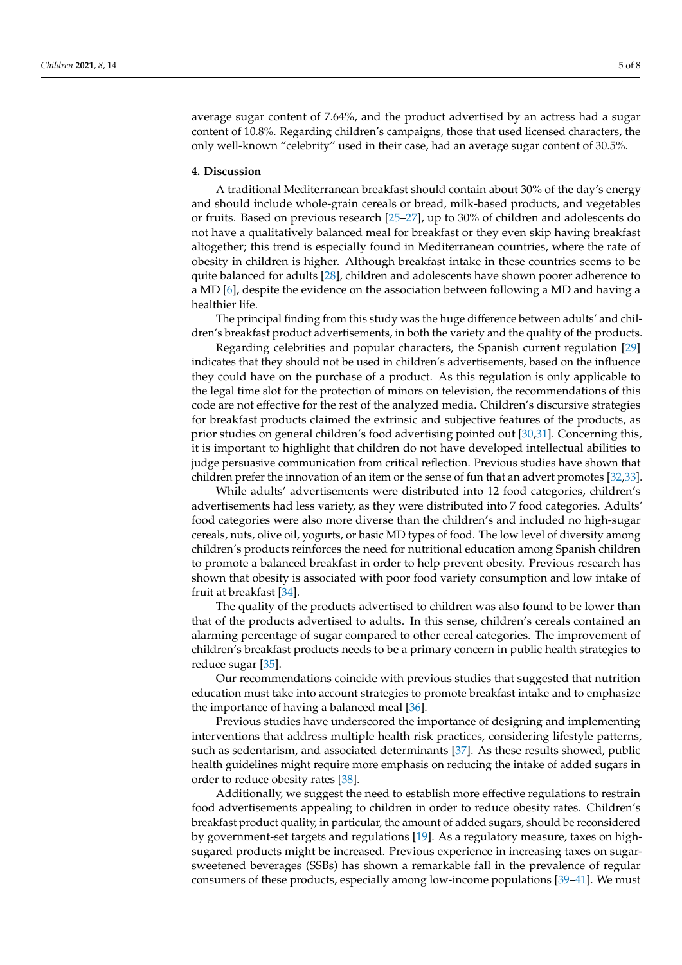average sugar content of 7.64%, and the product advertised by an actress had a sugar content of 10.8%. Regarding children's campaigns, those that used licensed characters, the only well-known "celebrity" used in their case, had an average sugar content of 30.5%.

## **4. Discussion**

A traditional Mediterranean breakfast should contain about 30% of the day's energy and should include whole-grain cereals or bread, milk-based products, and vegetables or fruits. Based on previous research [\[25](#page-6-16)[–27\]](#page-6-17), up to 30% of children and adolescents do not have a qualitatively balanced meal for breakfast or they even skip having breakfast altogether; this trend is especially found in Mediterranean countries, where the rate of obesity in children is higher. Although breakfast intake in these countries seems to be quite balanced for adults [\[28\]](#page-6-18), children and adolescents have shown poorer adherence to a MD [\[6\]](#page-5-3), despite the evidence on the association between following a MD and having a healthier life.

The principal finding from this study was the huge difference between adults' and children's breakfast product advertisements, in both the variety and the quality of the products.

Regarding celebrities and popular characters, the Spanish current regulation [\[29\]](#page-6-19) indicates that they should not be used in children's advertisements, based on the influence they could have on the purchase of a product. As this regulation is only applicable to the legal time slot for the protection of minors on television, the recommendations of this code are not effective for the rest of the analyzed media. Children's discursive strategies for breakfast products claimed the extrinsic and subjective features of the products, as prior studies on general children's food advertising pointed out [\[30,](#page-6-20)[31\]](#page-6-21). Concerning this, it is important to highlight that children do not have developed intellectual abilities to judge persuasive communication from critical reflection. Previous studies have shown that children prefer the innovation of an item or the sense of fun that an advert promotes [\[32](#page-6-22)[,33\]](#page-6-23).

While adults' advertisements were distributed into 12 food categories, children's advertisements had less variety, as they were distributed into 7 food categories. Adults' food categories were also more diverse than the children's and included no high-sugar cereals, nuts, olive oil, yogurts, or basic MD types of food. The low level of diversity among children's products reinforces the need for nutritional education among Spanish children to promote a balanced breakfast in order to help prevent obesity. Previous research has shown that obesity is associated with poor food variety consumption and low intake of fruit at breakfast [\[34\]](#page-7-0).

The quality of the products advertised to children was also found to be lower than that of the products advertised to adults. In this sense, children's cereals contained an alarming percentage of sugar compared to other cereal categories. The improvement of children's breakfast products needs to be a primary concern in public health strategies to reduce sugar [\[35\]](#page-7-1).

Our recommendations coincide with previous studies that suggested that nutrition education must take into account strategies to promote breakfast intake and to emphasize the importance of having a balanced meal [\[36\]](#page-7-2).

Previous studies have underscored the importance of designing and implementing interventions that address multiple health risk practices, considering lifestyle patterns, such as sedentarism, and associated determinants [\[37\]](#page-7-3). As these results showed, public health guidelines might require more emphasis on reducing the intake of added sugars in order to reduce obesity rates [\[38\]](#page-7-4).

Additionally, we suggest the need to establish more effective regulations to restrain food advertisements appealing to children in order to reduce obesity rates. Children's breakfast product quality, in particular, the amount of added sugars, should be reconsidered by government-set targets and regulations [\[19\]](#page-6-24). As a regulatory measure, taxes on highsugared products might be increased. Previous experience in increasing taxes on sugarsweetened beverages (SSBs) has shown a remarkable fall in the prevalence of regular consumers of these products, especially among low-income populations [\[39](#page-7-5)[–41\]](#page-7-6). We must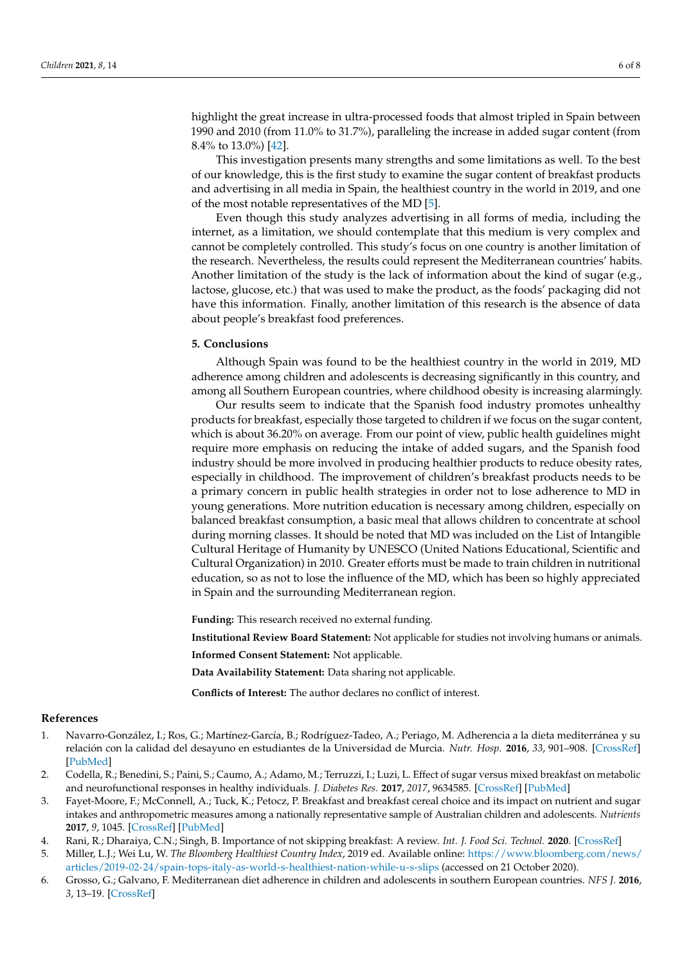highlight the great increase in ultra-processed foods that almost tripled in Spain between 1990 and 2010 (from 11.0% to 31.7%), paralleling the increase in added sugar content (from 8.4% to 13.0%) [\[42\]](#page-7-7).

This investigation presents many strengths and some limitations as well. To the best of our knowledge, this is the first study to examine the sugar content of breakfast products and advertising in all media in Spain, the healthiest country in the world in 2019, and one of the most notable representatives of the MD [\[5\]](#page-5-2).

Even though this study analyzes advertising in all forms of media, including the internet, as a limitation, we should contemplate that this medium is very complex and cannot be completely controlled. This study's focus on one country is another limitation of the research. Nevertheless, the results could represent the Mediterranean countries' habits. Another limitation of the study is the lack of information about the kind of sugar (e.g., lactose, glucose, etc.) that was used to make the product, as the foods' packaging did not have this information. Finally, another limitation of this research is the absence of data about people's breakfast food preferences.

# **5. Conclusions**

Although Spain was found to be the healthiest country in the world in 2019, MD adherence among children and adolescents is decreasing significantly in this country, and among all Southern European countries, where childhood obesity is increasing alarmingly.

Our results seem to indicate that the Spanish food industry promotes unhealthy products for breakfast, especially those targeted to children if we focus on the sugar content, which is about 36.20% on average. From our point of view, public health guidelines might require more emphasis on reducing the intake of added sugars, and the Spanish food industry should be more involved in producing healthier products to reduce obesity rates, especially in childhood. The improvement of children's breakfast products needs to be a primary concern in public health strategies in order not to lose adherence to MD in young generations. More nutrition education is necessary among children, especially on balanced breakfast consumption, a basic meal that allows children to concentrate at school during morning classes. It should be noted that MD was included on the List of Intangible Cultural Heritage of Humanity by UNESCO (United Nations Educational, Scientific and Cultural Organization) in 2010. Greater efforts must be made to train children in nutritional education, so as not to lose the influence of the MD, which has been so highly appreciated in Spain and the surrounding Mediterranean region.

**Funding:** This research received no external funding.

**Institutional Review Board Statement:** Not applicable for studies not involving humans or animals.

**Informed Consent Statement:** Not applicable.

**Data Availability Statement:** Data sharing not applicable.

**Conflicts of Interest:** The author declares no conflict of interest.

## **References**

- <span id="page-5-0"></span>1. Navarro-González, I.; Ros, G.; Martínez-García, B.; Rodríguez-Tadeo, A.; Periago, M. Adherencia a la dieta mediterránea y su relación con la calidad del desayuno en estudiantes de la Universidad de Murcia. *Nutr. Hosp.* **2016**, *33*, 901–908. [\[CrossRef\]](http://doi.org/10.20960/nh.390) [\[PubMed\]](http://www.ncbi.nlm.nih.gov/pubmed/27571665)
- 2. Codella, R.; Benedini, S.; Paini, S.; Caumo, A.; Adamo, M.; Terruzzi, I.; Luzi, L. Effect of sugar versus mixed breakfast on metabolic and neurofunctional responses in healthy individuals. *J. Diabetes Res.* **2017**, *2017*, 9634585. [\[CrossRef\]](http://doi.org/10.1155/2017/9634585) [\[PubMed\]](http://www.ncbi.nlm.nih.gov/pubmed/28706955)
- 3. Fayet-Moore, F.; McConnell, A.; Tuck, K.; Petocz, P. Breakfast and breakfast cereal choice and its impact on nutrient and sugar intakes and anthropometric measures among a nationally representative sample of Australian children and adolescents. *Nutrients* **2017**, *9*, 1045. [\[CrossRef\]](http://doi.org/10.3390/nu9101045) [\[PubMed\]](http://www.ncbi.nlm.nih.gov/pubmed/28934111)
- <span id="page-5-1"></span>4. Rani, R.; Dharaiya, C.N.; Singh, B. Importance of not skipping breakfast: A review. *Int. J. Food Sci. Technol.* **2020**. [\[CrossRef\]](http://doi.org/10.1111/ijfs.14742)
- <span id="page-5-2"></span>5. Miller, L.J.; Wei Lu, W. *The Bloomberg Healthiest Country Index*, 2019 ed. Available online: [https://www.bloomberg.com/news/](https://www.bloomberg.com/news/articles/2019-02-24/spain-tops-italy-as-world-s-healthiest-nation-while-u-s-slips) [articles/2019-02-24/spain-tops-italy-as-world-s-healthiest-nation-while-u-s-slips](https://www.bloomberg.com/news/articles/2019-02-24/spain-tops-italy-as-world-s-healthiest-nation-while-u-s-slips) (accessed on 21 October 2020).
- <span id="page-5-3"></span>6. Grosso, G.; Galvano, F. Mediterranean diet adherence in children and adolescents in southern European countries. *NFS J.* **2016**, *3*, 13–19. [\[CrossRef\]](http://doi.org/10.1016/j.nfs.2016.02.004)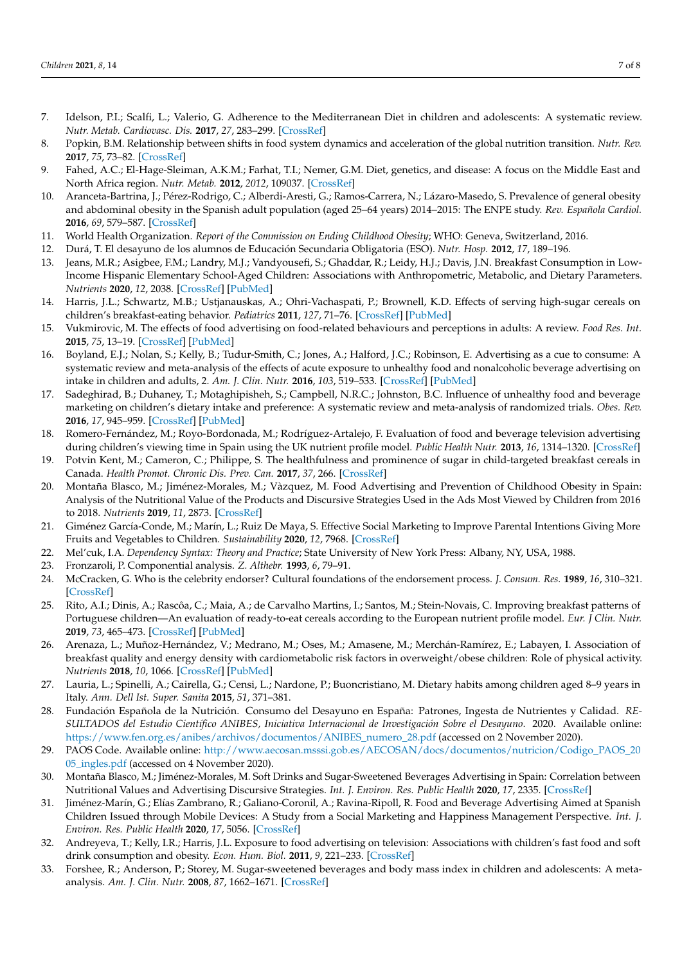- <span id="page-6-0"></span>7. Idelson, P.I.; Scalfi, L.; Valerio, G. Adherence to the Mediterranean Diet in children and adolescents: A systematic review. *Nutr. Metab. Cardiovasc. Dis.* **2017**, *27*, 283–299. [\[CrossRef\]](http://doi.org/10.1016/j.numecd.2017.01.002)
- <span id="page-6-1"></span>8. Popkin, B.M. Relationship between shifts in food system dynamics and acceleration of the global nutrition transition. *Nutr. Rev.* **2017**, *75*, 73–82. [\[CrossRef\]](http://doi.org/10.1093/nutrit/nuw064)
- <span id="page-6-2"></span>9. Fahed, A.C.; El-Hage-Sleiman, A.K.M.; Farhat, T.I.; Nemer, G.M. Diet, genetics, and disease: A focus on the Middle East and North Africa region. *Nutr. Metab.* **2012**, *2012*, 109037. [\[CrossRef\]](http://doi.org/10.1155/2012/109037)
- <span id="page-6-3"></span>10. Aranceta-Bartrina, J.; Pérez-Rodrigo, C.; Alberdi-Aresti, G.; Ramos-Carrera, N.; Lázaro-Masedo, S. Prevalence of general obesity and abdominal obesity in the Spanish adult population (aged 25–64 years) 2014–2015: The ENPE study. *Rev. Española Cardiol.* **2016**, *69*, 579–587. [\[CrossRef\]](http://doi.org/10.1016/j.recesp.2016.02.010)
- <span id="page-6-4"></span>11. World Health Organization. *Report of the Commission on Ending Childhood Obesity*; WHO: Geneva, Switzerland, 2016.
- <span id="page-6-5"></span>12. Durá, T. El desayuno de los alumnos de Educación Secundaria Obligatoria (ESO). *Nutr. Hosp.* **2012**, *17*, 189–196.
- <span id="page-6-6"></span>13. Jeans, M.R.; Asigbee, F.M.; Landry, M.J.; Vandyousefi, S.; Ghaddar, R.; Leidy, H.J.; Davis, J.N. Breakfast Consumption in Low-Income Hispanic Elementary School-Aged Children: Associations with Anthropometric, Metabolic, and Dietary Parameters. *Nutrients* **2020**, *12*, 2038. [\[CrossRef\]](http://doi.org/10.3390/nu12072038) [\[PubMed\]](http://www.ncbi.nlm.nih.gov/pubmed/32659982)
- <span id="page-6-7"></span>14. Harris, J.L.; Schwartz, M.B.; Ustjanauskas, A.; Ohri-Vachaspati, P.; Brownell, K.D. Effects of serving high-sugar cereals on children's breakfast-eating behavior. *Pediatrics* **2011**, *127*, 71–76. [\[CrossRef\]](http://doi.org/10.1542/peds.2010-0864) [\[PubMed\]](http://www.ncbi.nlm.nih.gov/pubmed/21149436)
- <span id="page-6-8"></span>15. Vukmirovic, M. The effects of food advertising on food-related behaviours and perceptions in adults: A review. *Food Res. Int.* **2015**, *75*, 13–19. [\[CrossRef\]](http://doi.org/10.1016/j.foodres.2015.05.011) [\[PubMed\]](http://www.ncbi.nlm.nih.gov/pubmed/28454939)
- <span id="page-6-9"></span>16. Boyland, E.J.; Nolan, S.; Kelly, B.; Tudur-Smith, C.; Jones, A.; Halford, J.C.; Robinson, E. Advertising as a cue to consume: A systematic review and meta-analysis of the effects of acute exposure to unhealthy food and nonalcoholic beverage advertising on intake in children and adults, 2. *Am. J. Clin. Nutr.* **2016**, *103*, 519–533. [\[CrossRef\]](http://doi.org/10.3945/ajcn.115.120022) [\[PubMed\]](http://www.ncbi.nlm.nih.gov/pubmed/26791177)
- <span id="page-6-10"></span>17. Sadeghirad, B.; Duhaney, T.; Motaghipisheh, S.; Campbell, N.R.C.; Johnston, B.C. Influence of unhealthy food and beverage marketing on children's dietary intake and preference: A systematic review and meta-analysis of randomized trials. *Obes. Rev.* **2016**, *17*, 945–959. [\[CrossRef\]](http://doi.org/10.1111/obr.12445) [\[PubMed\]](http://www.ncbi.nlm.nih.gov/pubmed/27427474)
- <span id="page-6-11"></span>18. Romero-Fernández, M.; Royo-Bordonada, M.; Rodríguez-Artalejo, F. Evaluation of food and beverage television advertising during children's viewing time in Spain using the UK nutrient profile model. *Public Health Nutr.* **2013**, *16*, 1314–1320. [\[CrossRef\]](http://doi.org/10.1017/S1368980012003503)
- <span id="page-6-24"></span>19. Potvin Kent, M.; Cameron, C.; Philippe, S. The healthfulness and prominence of sugar in child-targeted breakfast cereals in Canada. *Health Promot. Chronic Dis. Prev. Can.* **2017**, *37*, 266. [\[CrossRef\]](http://doi.org/10.24095/hpcdp.37.9.02)
- 20. Montaña Blasco, M.; Jiménez-Morales, M.; Vàzquez, M. Food Advertising and Prevention of Childhood Obesity in Spain: Analysis of the Nutritional Value of the Products and Discursive Strategies Used in the Ads Most Viewed by Children from 2016 to 2018. *Nutrients* **2019**, *11*, 2873. [\[CrossRef\]](http://doi.org/10.3390/nu11122873)
- <span id="page-6-12"></span>21. Giménez García-Conde, M.; Marín, L.; Ruiz De Maya, S. Effective Social Marketing to Improve Parental Intentions Giving More Fruits and Vegetables to Children. *Sustainability* **2020**, *12*, 7968. [\[CrossRef\]](http://doi.org/10.3390/su12197968)
- <span id="page-6-13"></span>22. Mel'cuk, I.A. *Dependency Syntax: Theory and Practice*; State University of New York Press: Albany, NY, USA, 1988.
- <span id="page-6-14"></span>23. Fronzaroli, P. Componential analysis. *Z. Althebr.* **1993**, *6*, 79–91.
- <span id="page-6-15"></span>24. McCracken, G. Who is the celebrity endorser? Cultural foundations of the endorsement process. *J. Consum. Res.* **1989**, *16*, 310–321. [\[CrossRef\]](http://doi.org/10.1086/209217)
- <span id="page-6-16"></span>25. Rito, A.I.; Dinis, A.; Rascôa, C.; Maia, A.; de Carvalho Martins, I.; Santos, M.; Stein-Novais, C. Improving breakfast patterns of Portuguese children—An evaluation of ready-to-eat cereals according to the European nutrient profile model. *Eur. J Clin. Nutr.* **2019**, *73*, 465–473. [\[CrossRef\]](http://doi.org/10.1038/s41430-018-0235-6) [\[PubMed\]](http://www.ncbi.nlm.nih.gov/pubmed/29973677)
- 26. Arenaza, L.; Muñoz-Hernández, V.; Medrano, M.; Oses, M.; Amasene, M.; Merchán-Ramírez, E.; Labayen, I. Association of breakfast quality and energy density with cardiometabolic risk factors in overweight/obese children: Role of physical activity. *Nutrients* **2018**, *10*, 1066. [\[CrossRef\]](http://doi.org/10.3390/nu10081066) [\[PubMed\]](http://www.ncbi.nlm.nih.gov/pubmed/30103429)
- <span id="page-6-17"></span>27. Lauria, L.; Spinelli, A.; Cairella, G.; Censi, L.; Nardone, P.; Buoncristiano, M. Dietary habits among children aged 8–9 years in Italy. *Ann. Dell Ist. Super. Sanita* **2015**, *51*, 371–381.
- <span id="page-6-18"></span>28. Fundación Española de la Nutrición. Consumo del Desayuno en España: Patrones, Ingesta de Nutrientes y Calidad. *RE-SULTADOS del Estudio Científico ANIBES, Iniciativa Internacional de Investigación Sobre el Desayuno*. 2020. Available online: [https://www.fen.org.es/anibes/archivos/documentos/ANIBES\\_numero\\_28.pdf](https://www.fen.org.es/anibes/archivos/documentos/ANIBES_numero_28.pdf) (accessed on 2 November 2020).
- <span id="page-6-19"></span>29. PAOS Code. Available online: [http://www.aecosan.msssi.gob.es/AECOSAN/docs/documentos/nutricion/Codigo\\_PAOS\\_20](http://www.aecosan.msssi.gob.es/AECOSAN/docs/documentos/nutricion/Codigo_PAOS_2005_ingles.pdf) [05\\_ingles.pdf](http://www.aecosan.msssi.gob.es/AECOSAN/docs/documentos/nutricion/Codigo_PAOS_2005_ingles.pdf) (accessed on 4 November 2020).
- <span id="page-6-20"></span>30. Montaña Blasco, M.; Jiménez-Morales, M. Soft Drinks and Sugar-Sweetened Beverages Advertising in Spain: Correlation between Nutritional Values and Advertising Discursive Strategies. *Int. J. Environ. Res. Public Health* **2020**, *17*, 2335. [\[CrossRef\]](http://doi.org/10.3390/ijerph17072335)
- <span id="page-6-21"></span>31. Jiménez-Marín, G.; Elías Zambrano, R.; Galiano-Coronil, A.; Ravina-Ripoll, R. Food and Beverage Advertising Aimed at Spanish Children Issued through Mobile Devices: A Study from a Social Marketing and Happiness Management Perspective. *Int. J. Environ. Res. Public Health* **2020**, *17*, 5056. [\[CrossRef\]](http://doi.org/10.3390/ijerph17145056)
- <span id="page-6-22"></span>32. Andreyeva, T.; Kelly, I.R.; Harris, J.L. Exposure to food advertising on television: Associations with children's fast food and soft drink consumption and obesity. *Econ. Hum. Biol.* **2011**, *9*, 221–233. [\[CrossRef\]](http://doi.org/10.1016/j.ehb.2011.02.004)
- <span id="page-6-23"></span>33. Forshee, R.; Anderson, P.; Storey, M. Sugar-sweetened beverages and body mass index in children and adolescents: A metaanalysis. *Am. J. Clin. Nutr.* **2008**, *87*, 1662–1671. [\[CrossRef\]](http://doi.org/10.1093/ajcn/87.6.1662)